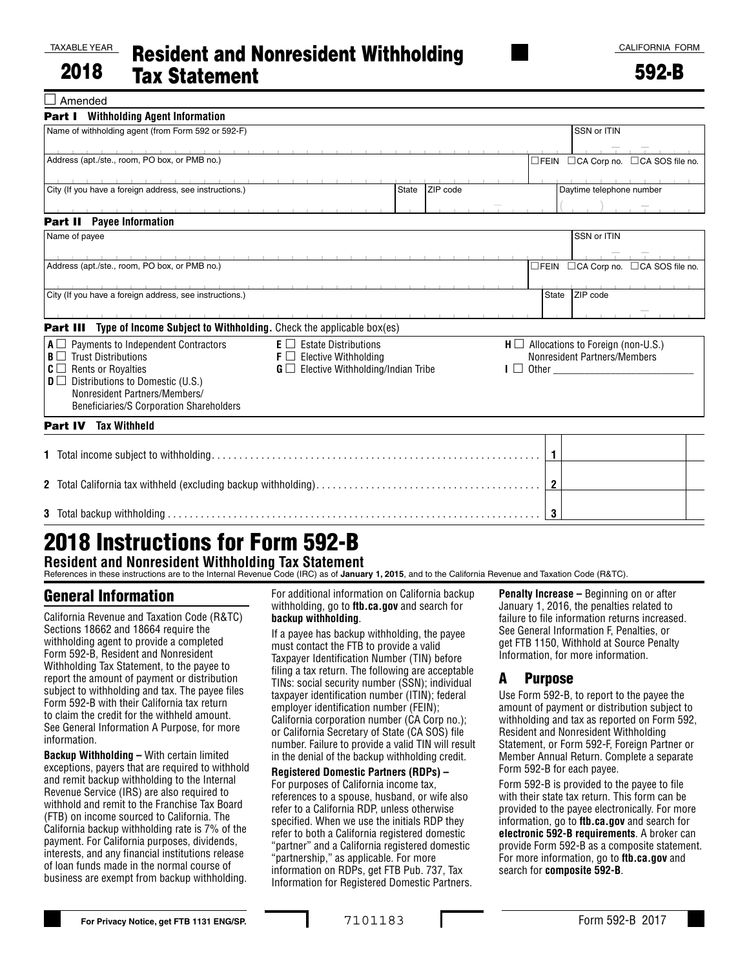TAXABLE YEAR

592-B

|--|

| <b>Part I</b> Withholding Agent Information                                                                                                                                                                                   |                                                        |              |          |  |                                               |                          |                                     |  |  |
|-------------------------------------------------------------------------------------------------------------------------------------------------------------------------------------------------------------------------------|--------------------------------------------------------|--------------|----------|--|-----------------------------------------------|--------------------------|-------------------------------------|--|--|
| Name of withholding agent (from Form 592 or 592-F)                                                                                                                                                                            |                                                        |              |          |  |                                               | SSN or ITIN              |                                     |  |  |
| the contract of the contract of                                                                                                                                                                                               |                                                        |              |          |  |                                               |                          |                                     |  |  |
| Address (apt./ste., room, PO box, or PMB no.)                                                                                                                                                                                 |                                                        |              |          |  |                                               |                          | □FEIN □CA Corp no. □CA SOS file no. |  |  |
|                                                                                                                                                                                                                               | the contract of the contract of                        |              |          |  |                                               |                          |                                     |  |  |
| City (If you have a foreign address, see instructions.)                                                                                                                                                                       |                                                        | <b>State</b> | ZIP code |  |                                               | Daytime telephone number |                                     |  |  |
| the company of the company of the company of the company of the company of the company of the company of the company of the company of the company of the company of the company of the company of the company of the company |                                                        |              |          |  |                                               |                          |                                     |  |  |
| <b>Part II</b> Payee Information                                                                                                                                                                                              |                                                        |              |          |  |                                               |                          |                                     |  |  |
| Name of payee                                                                                                                                                                                                                 |                                                        |              |          |  |                                               | SSN or ITIN              |                                     |  |  |
| .                                                                                                                                                                                                                             |                                                        |              |          |  |                                               |                          |                                     |  |  |
| Address (apt./ste., room, PO box, or PMB no.)                                                                                                                                                                                 |                                                        |              |          |  |                                               |                          | □FEIN □CA Corp no. □CA SOS file no. |  |  |
| .                                                                                                                                                                                                                             |                                                        |              |          |  |                                               |                          |                                     |  |  |
| City (If you have a foreign address, see instructions.)                                                                                                                                                                       |                                                        |              |          |  | State                                         | ZIP code                 |                                     |  |  |
|                                                                                                                                                                                                                               |                                                        |              |          |  |                                               |                          |                                     |  |  |
| <b>Part III</b> Type of Income Subject to Withholding. Check the applicable box(es)                                                                                                                                           |                                                        |              |          |  |                                               |                          |                                     |  |  |
| $A \square$ Payments to Independent Contractors                                                                                                                                                                               | $E \Box$ Estate Distributions                          |              |          |  | $H \square$ Allocations to Foreign (non-U.S.) |                          |                                     |  |  |
| $B \Box$ Trust Distributions                                                                                                                                                                                                  | $\mathsf{F} \square$ Elective Withholding              |              |          |  | Nonresident Partners/Members                  |                          |                                     |  |  |
| $C \square$ Rents or Royalties                                                                                                                                                                                                | $\mathbf{G} \square$ Elective Withholding/Indian Tribe |              |          |  |                                               |                          |                                     |  |  |
| $\mathbf{D} \square$ Distributions to Domestic (U.S.)                                                                                                                                                                         |                                                        |              |          |  |                                               |                          |                                     |  |  |
| Nonresident Partners/Members/                                                                                                                                                                                                 |                                                        |              |          |  |                                               |                          |                                     |  |  |
| Beneficiaries/S Corporation Shareholders                                                                                                                                                                                      |                                                        |              |          |  |                                               |                          |                                     |  |  |
| <b>Tax Withheld</b><br><b>Part IV</b>                                                                                                                                                                                         |                                                        |              |          |  |                                               |                          |                                     |  |  |
|                                                                                                                                                                                                                               |                                                        |              |          |  |                                               |                          |                                     |  |  |
|                                                                                                                                                                                                                               |                                                        |              |          |  | $\mathbf{1}$                                  |                          |                                     |  |  |
|                                                                                                                                                                                                                               |                                                        |              |          |  |                                               |                          |                                     |  |  |
|                                                                                                                                                                                                                               |                                                        |              |          |  | $\mathbf{2}$                                  |                          |                                     |  |  |
|                                                                                                                                                                                                                               |                                                        |              |          |  |                                               |                          |                                     |  |  |
|                                                                                                                                                                                                                               |                                                        |              |          |  | 3                                             |                          |                                     |  |  |

# 2018 Instructions for Form 592-B

**Resident and Nonresident Withholding Tax Statement** References in these instructions are to the Internal Revenue Code (IRC) as of **January 1, 2015**, and to the California Revenue and Taxation Code (R&TC).

## General Information

California Revenue and Taxation Code (R&TC) Sections 18662 and 18664 require the withholding agent to provide a completed Form 592-B, Resident and Nonresident Withholding Tax Statement, to the payee to report the amount of payment or distribution subject to withholding and tax. The payee files Form 592-B with their California tax return to claim the credit for the withheld amount. See General Information A Purpose, for more information.

**Backup Withholding –** With certain limited exceptions, payers that are required to withhold and remit backup withholding to the Internal Revenue Service (IRS) are also required to withhold and remit to the Franchise Tax Board (FTB) on income sourced to California. The California backup withholding rate is 7% of the payment. For California purposes, dividends, interests, and any financial institutions release of loan funds made in the normal course of business are exempt from backup withholding.

For additional information on California backup withholding, go to **ftb.ca.gov** and search for **backup withholding**.

If a payee has backup withholding, the payee must contact the FTB to provide a valid Taxpayer Identification Number (TIN) before filing a tax return. The following are acceptable TINs: social security number (SSN); individual taxpayer identification number (ITIN); federal employer identification number (FEIN); California corporation number (CA Corp no.); or California Secretary of State (CA SOS) file number. Failure to provide a valid TIN will result in the denial of the backup withholding credit.

**Registered Domestic Partners (RDPs) –** For purposes of California income tax, references to a spouse, husband, or wife also refer to a California RDP, unless otherwise specified. When we use the initials RDP they refer to both a California registered domestic "partner" and a California registered domestic "partnership," as applicable. For more information on RDPs, get FTB Pub. 737, Tax Information for Registered Domestic Partners. **Penalty Increase –** Beginning on or after January 1, 2016, the penalties related to failure to file information returns increased. See General Information F, Penalties, or get FTB 1150, Withhold at Source Penalty Information, for more information.

### A Purpose

Use Form 592-B, to report to the payee the amount of payment or distribution subject to withholding and tax as reported on Form 592, Resident and Nonresident Withholding Statement, or Form 592-F, Foreign Partner or Member Annual Return. Complete a separate Form 592-B for each payee.

Form 592-B is provided to the payee to file with their state tax return. This form can be provided to the payee electronically. For more information, go to **ftb.ca.gov** and search for **electronic 592-B requirements**. A broker can provide Form 592-B as a composite statement. For more information, go to **ftb.ca.gov** and search for **composite 592-B**.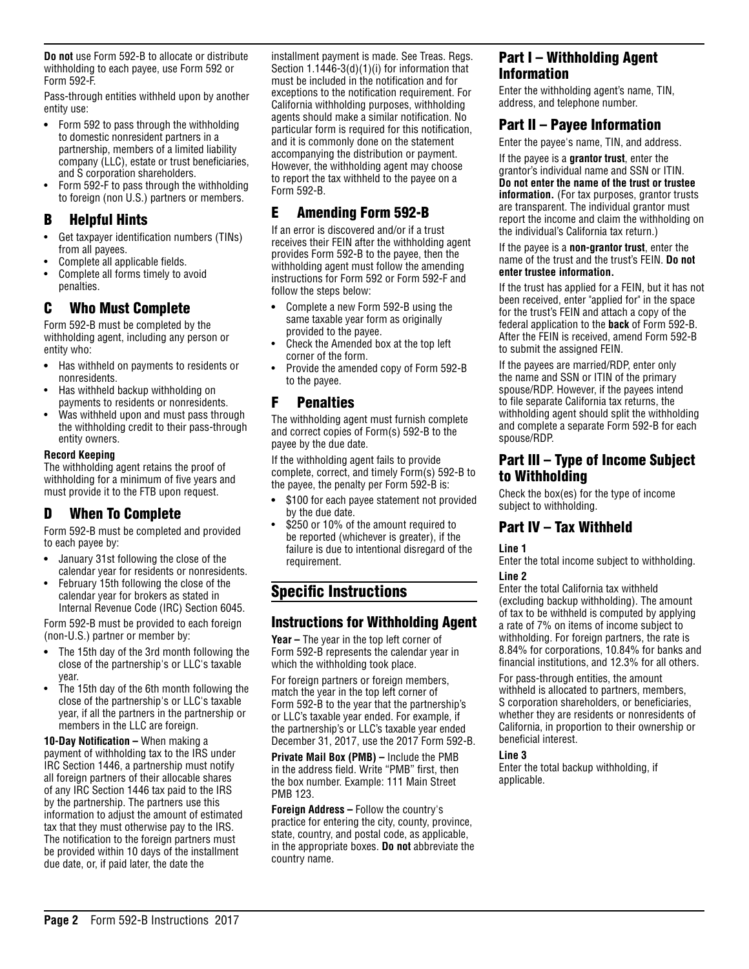**Do not** use Form 592-B to allocate or distribute withholding to each payee, use Form 592 or Form 592-F.

Pass-through entities withheld upon by another entity use:

- **•** Form 592 to pass through the withholding to domestic nonresident partners in a partnership, members of a limited liability company (LLC), estate or trust beneficiaries, and S corporation shareholders.
- Form 592-F to pass through the withholding to foreign (non U.S.) partners or members.

### B Helpful Hints

- Get taxpayer identification numbers (TINs) from all payees.
- Complete all applicable fields.
- Complete all forms timely to avoid penalties.

### C Who Must Complete

Form 592-B must be completed by the withholding agent, including any person or entity who:

- **•** Has withheld on payments to residents or nonresidents.
- Has withheld backup withholding on payments to residents or nonresidents.
- Was withheld upon and must pass through the withholding credit to their pass-through entity owners.

#### **Record Keeping**

The withholding agent retains the proof of withholding for a minimum of five years and must provide it to the FTB upon request.

### D When To Complete

Form 592-B must be completed and provided to each payee by:

- **•** January 31st following the close of the calendar year for residents or nonresidents.
- February 15th following the close of the calendar year for brokers as stated in Internal Revenue Code (IRC) Section 6045.

Form 592-B must be provided to each foreign (non-U.S.) partner or member by:

- **•** The 15th day of the 3rd month following the close of the partnership's or LLC's taxable year.
- The 15th day of the 6th month following the close of the partnership's or LLC's taxable year, if all the partners in the partnership or members in the LLC are foreign.

**10-Day Notification –** When making a payment of withholding tax to the IRS under IRC Section 1446, a partnership must notify all foreign partners of their allocable shares of any IRC Section 1446 tax paid to the IRS by the partnership. The partners use this information to adjust the amount of estimated tax that they must otherwise pay to the IRS. The notification to the foreign partners must be provided within 10 days of the installment due date, or, if paid later, the date the

installment payment is made. See Treas. Regs. Section 1.1446-3(d)(1)(i) for information that must be included in the notification and for exceptions to the notification requirement. For California withholding purposes, withholding agents should make a similar notification. No particular form is required for this notification, and it is commonly done on the statement accompanying the distribution or payment. However, the withholding agent may choose to report the tax withheld to the payee on a Form 592-B.

### E Amending Form 592-B

If an error is discovered and/or if a trust receives their FEIN after the withholding agent provides Form 592-B to the payee, then the withholding agent must follow the amending instructions for Form 592 or Form 592-F and follow the steps below:

- **•** Complete a new Form 592-B using the same taxable year form as originally provided to the payee.
- Check the Amended box at the top left corner of the form.
- Provide the amended copy of Form 592-B to the payee.

### F Penalties

The withholding agent must furnish complete and correct copies of Form(s) 592-B to the payee by the due date.

If the withholding agent fails to provide complete, correct, and timely Form(s) 592-B to the payee, the penalty per Form  $592 - B$  is:

- **•** \$100 for each payee statement not provided by the due date.
- \$250 or 10% of the amount required to be reported (whichever is greater), if the failure is due to intentional disregard of the requirement.

### Specific Instructions

### Instructions for Withholding Agent

**Year –** The year in the top left corner of Form 592-B represents the calendar year in which the withholding took place.

For foreign partners or foreign members, match the year in the top left corner of Form 592-B to the year that the partnership's or LLC's taxable year ended. For example, if the partnership's or LLC's taxable year ended December 31, 2017, use the 2017 Form 592-B.

**Private Mail Box (PMB) –** Include the PMB in the address field. Write "PMB" first, then the box number. Example: 111 Main Street PMB 123.

**Foreign Address –** Follow the country's practice for entering the city, county, province, state, country, and postal code, as applicable, in the appropriate boxes. **Do not** abbreviate the country name.

### Part I – Withholding Agent Information

Enter the withholding agent's name, TIN, address, and telephone number.

### Part II – Payee Information

Enter the payee's name, TIN, and address.

If the payee is a **grantor trust**, enter the grantor's individual name and SSN or ITIN. **Do not enter the name of the trust or trustee information.** (For tax purposes, grantor trusts are transparent. The individual grantor must report the income and claim the withholding on the individual's California tax return.)

#### If the payee is a **non-grantor trust**, enter the name of the trust and the trust's FEIN. **Do not enter trustee information.**

If the trust has applied for a FEIN, but it has not been received, enter "applied for" in the space for the trust's FEIN and attach a copy of the federal application to the **back** of Form 592-B. After the FEIN is received, amend Form 592-B to submit the assigned FEIN.

If the payees are married/RDP, enter only the name and SSN or ITIN of the primary spouse/RDP. However, if the payees intend to file separate California tax returns, the withholding agent should split the withholding and complete a separate Form 592-B for each spouse/RDP.

### Part III – Type of Income Subject to Withholding

Check the box(es) for the type of income subject to withholding.

### Part IV – Tax Withheld

#### **Line 1**

Enter the total income subject to withholding.

### **Line 2**

Enter the total California tax withheld (excluding backup withholding). The amount of tax to be withheld is computed by applying a rate of 7% on items of income subject to withholding. For foreign partners, the rate is 8.84% for corporations, 10.84% for banks and financial institutions, and 12.3% for all others.

For pass-through entities, the amount withheld is allocated to partners, members, S corporation shareholders, or beneficiaries, whether they are residents or nonresidents of California, in proportion to their ownership or beneficial interest.

#### **Line 3**

Enter the total backup withholding, if applicable.